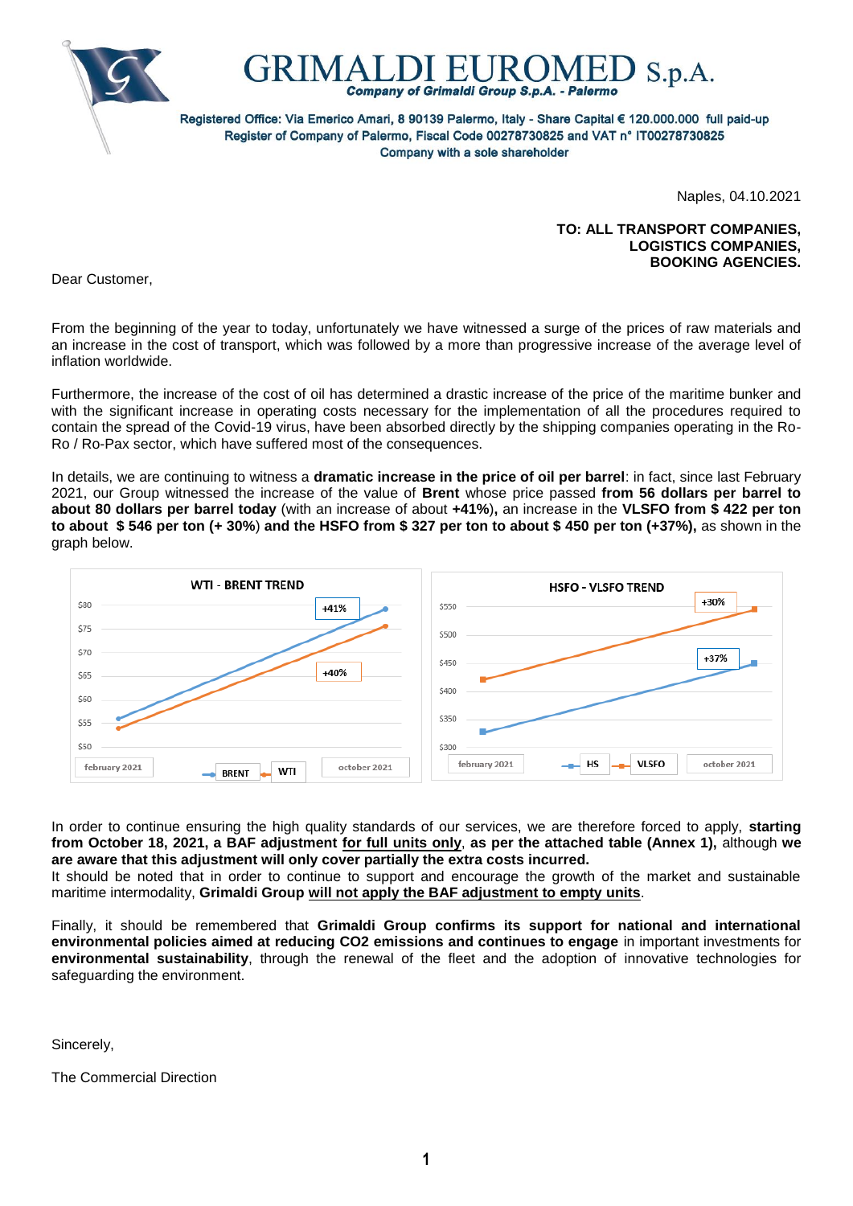



Registered Office: Via Emerico Amari, 8 90139 Palermo, Italy - Share Capital € 120.000.000 full paid-up Register of Company of Palermo, Fiscal Code 00278730825 and VAT n° IT00278730825 Company with a sole shareholder

Naples, 04.10.2021

## **TO: ALL TRANSPORT COMPANIES, LOGISTICS COMPANIES, BOOKING AGENCIES.**

Dear Customer,

From the beginning of the year to today, unfortunately we have witnessed a surge of the prices of raw materials and an increase in the cost of transport, which was followed by a more than progressive increase of the average level of inflation worldwide.

Furthermore, the increase of the cost of oil has determined a drastic increase of the price of the maritime bunker and with the significant increase in operating costs necessary for the implementation of all the procedures required to contain the spread of the Covid-19 virus, have been absorbed directly by the shipping companies operating in the Ro-Ro / Ro-Pax sector, which have suffered most of the consequences.

In details, we are continuing to witness a **dramatic increase in the price of oil per barrel**: in fact, since last February 2021, our Group witnessed the increase of the value of **Brent** whose price passed **from 56 dollars per barrel to about 80 dollars per barrel today** (with an increase of about **+41%**)**,** an increase in the **VLSFO from \$ 422 per ton to about \$ 546 per ton (+ 30%**) **and the HSFO from \$ 327 per ton to about \$ 450 per ton (+37%),** as shown in the graph below.



In order to continue ensuring the high quality standards of our services, we are therefore forced to apply, **starting from October 18, 2021, a BAF adjustment for full units only**, **as per the attached table (Annex 1),** although **we are aware that this adjustment will only cover partially the extra costs incurred.**

It should be noted that in order to continue to support and encourage the growth of the market and sustainable maritime intermodality, **Grimaldi Group will not apply the BAF adjustment to empty units**.

Finally, it should be remembered that **Grimaldi Group confirms its support for national and international environmental policies aimed at reducing CO2 emissions and continues to engage** in important investments for **environmental sustainability**, through the renewal of the fleet and the adoption of innovative technologies for safeguarding the environment.

Sincerely,

The Commercial Direction